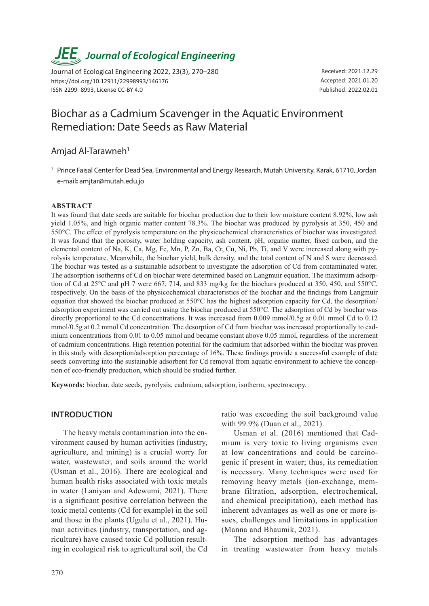# *JEE<sub>,</sub> Journal of Ecological Engineering*

Journal of Ecological Engineering 2022, 23(3), 270–280 https://doi.org/10.12911/22998993/146176 ISSN 2299–8993, License CC-BY 4.0

Received: 2021.12.29 Accepted: 2021.01.20 Published: 2022.02.01

# Biochar as a Cadmium Scavenger in the Aquatic Environment Remediation: Date Seeds as Raw Material

# Amjad Al-Tarawneh<sup>1</sup>

<sup>1</sup> Prince Faisal Center for Dead Sea, Environmental and Energy Research, Mutah University, Karak, 61710, Jordan e-mail**:** amjtar@mutah.edu.jo

## **ABSTRACT**

It was found that date seeds are suitable for biochar production due to their low moisture content 8.92%, low ash yield 1.05%, and high organic matter content 78.3%. The biochar was produced by pyrolysis at 350, 450 and 550°C. The effect of pyrolysis temperature on the physicochemical characteristics of biochar was investigated. It was found that the porosity, water holding capacity, ash content, pH, organic matter, fixed carbon, and the elemental content of Na, K, Ca, Mg, Fe, Mn, P, Zn, Ba, Cr, Cu, Ni, Pb, Ti, and V were increased along with pyrolysis temperature. Meanwhile, the biochar yield, bulk density, and the total content of N and S were decreased. The biochar was tested as a sustainable adsorbent to investigate the adsorption of Cd from contaminated water. The adsorption isotherms of Cd on biochar were determined based on Langmuir equation. The maximum adsorption of Cd at 25°C and pH 7 were 667, 714, and 833 mg/kg for the biochars produced at 350, 450, and 550°C, respectively. On the basis of the physicochemical characteristics of the biochar and the findings from Langmuir equation that showed the biochar produced at 550°C has the highest adsorption capacity for Cd, the desorption/ adsorption experiment was carried out using the biochar produced at 550°C. The adsorption of Cd by biochar was directly proportional to the Cd concentrations. It was increased from 0.009 mmol/0.5g at 0.01 mmol Cd to 0.12 mmol/0.5g at 0.2 mmol Cd concentration. The desorption of Cd from biochar was increased proportionally to cadmium concentrations from 0.01 to 0.05 mmol and became constant above 0.05 mmol, regardless of the increment of cadmium concentrations. High retention potential for the cadmium that adsorbed within the biochar was proven in this study with desorption/adsorption percentage of 16%. These findings provide a successful example of date seeds converting into the sustainable adsorbent for Cd removal from aquatic environment to achieve the conception of eco-friendly production, which should be studied further.

**Keywords:** biochar, date seeds, pyrolysis, cadmium, adsorption, isotherm, spectroscopy.

# **INTRODUCTION**

The heavy metals contamination into the environment caused by human activities (industry, agriculture, and mining) is a crucial worry for water, wastewater, and soils around the world (Usman et al., 2016). There are ecological and human health risks associated with toxic metals in water (Laniyan and Adewumi, 2021). There is a significant positive correlation between the toxic metal contents (Cd for example) in the soil and those in the plants (Ugulu et al., 2021). Human activities (industry, transportation, and agriculture) have caused toxic Cd pollution resulting in ecological risk to agricultural soil, the Cd ratio was exceeding the soil background value with 99.9% (Duan et al., 2021).

Usman et al. (2016) mentioned that Cadmium is very toxic to living organisms even at low concentrations and could be carcinogenic if present in water; thus, its remediation is necessary. Many techniques were used for removing heavy metals (ion-exchange, membrane filtration, adsorption, electrochemical, and chemical precipitation), each method has inherent advantages as well as one or more issues, challenges and limitations in application (Manna and Bhaumik, 2021).

The adsorption method has advantages in treating wastewater from heavy metals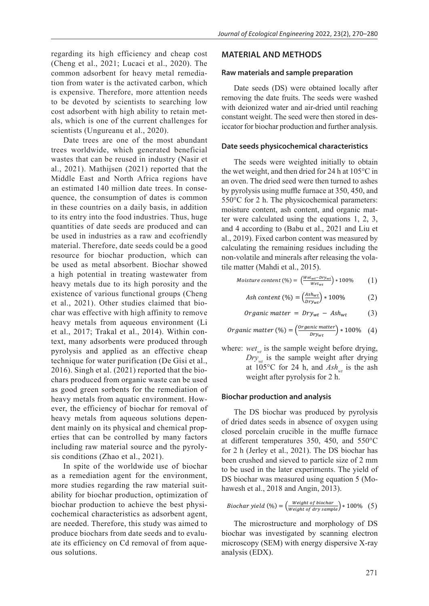regarding its high efficiency and cheap cost (Cheng et al., 2021; Lucaci et al., 2020). The common adsorbent for heavy metal remediation from water is the activated carbon, which is expensive. Therefore, more attention needs to be devoted by scientists to searching low cost adsorbent with high ability to retain metals, which is one of the current challenges for scientists (Ungureanu et al., 2020).

Date trees are one of the most abundant trees worldwide, which generated beneficial wastes that can be reused in industry (Nasir et al., 2021). Mathijsen (2021) reported that the Middle East and North Africa regions have an estimated 140 million date trees. In consequence, the consumption of dates is common in these countries on a daily basis, in addition to its entry into the food industries. Thus, huge quantities of date seeds are produced and can be used in industries as a raw and ecofriendly material. Therefore, date seeds could be a good resource for biochar production, which can be used as metal absorbent. Biochar showed a high potential in treating wastewater from heavy metals due to its high porosity and the existence of various functional groups (Cheng et al., 2021). Other studies claimed that biochar was effective with high affinity to remove heavy metals from aqueous environment (Li et al., 2017; Trakal et al., 2014). Within context, many adsorbents were produced through pyrolysis and applied as an effective cheap technique for water purification (De Gisi et al., 2016). Singh et al. (2021) reported that the biochars produced from organic waste can be used as good green sorbents for the remediation of heavy metals from aquatic environment. However, the efficiency of biochar for removal of heavy metals from aqueous solutions dependent mainly on its physical and chemical properties that can be controlled by many factors including raw material source and the pyrolysis conditions (Zhao et al., 2021).

In spite of the worldwide use of biochar as a remediation agent for the environment, more studies regarding the raw material suitability for biochar production, optimization of biochar production to achieve the best physicochemical characteristics as adsorbent agent, are needed. Therefore, this study was aimed to produce biochars from date seeds and to evaluate its efficiency on Cd removal of from aqueous solutions.

#### **MATERIAL AND METHODS**

#### **Raw materials and sample preparation**

Date seeds (DS) were obtained locally after removing the date fruits. The seeds were washed with deionized water and air-dried until reaching constant weight. The seed were then stored in desiccator for biochar production and further analysis.

#### **Date seeds physicochemical characteristics**

The seeds were weighted initially to obtain the wet weight, and then dried for 24 h at 105°C in an oven. The dried seed were then turned to ashes by pyrolysis using muffle furnace at 350, 450, and 550°C for 2 h. The physicochemical parameters: moisture content, ash content, and organic matter were calculated using the equations 1, 2, 3, and 4 according to (Babu et al., 2021 and Liu et al., 2019). Fixed carbon content was measured by calculating the remaining residues including the non-volatile and minerals after releasing the volatile matter (Mahdi et al., 2015).

$$
Moisture content (\%) = \left(\frac{Wet_{wt} - Dry_{wt}}{Wet_{wt}}\right) * 100\% \tag{1}
$$

$$
Ash content (\%) = \left(\frac{Ash_{wt}}{bry_{wt}}\right) * 100\% \tag{2}
$$

*Organic matter* = 
$$
Dry_{wt} - Ash_{wt}
$$
 (3)

*Organic matter* (%) = 
$$
\left(\frac{organic\ matter}{bry_{wt}}\right) * 100\%
$$
 (4)

where:  $wet_{wt}$  is the sample weight before drying,  $Dry<sub>wt</sub>$  is the sample weight after drying  $- w t$ weight after pyrolysis for 2 h.  $103 \text{ C}$  for  $2+$  ii, and  $21$ weight after pyrolysis for 2 h. at  $105^{\circ}$ C for 24 h, and  $\overline{Ash}_{wt}$  is the ash

#### $\mathop{\sf iochar}\nolimits$  production and analysis **Biochar production and analysis**

−

The DS biochar was produced by pyrolysis of dried dates seeds in absence of oxygen using closed porcelain crucible in the muffle furnace at different temperatures 350, 450, and 550°C for 2 h (Jerley et al., 2021). The DS biochar has been crushed and sieved to particle size of 2 mm ℎ to be used in the later experiments. The yield of DS biochar was measured using equation 5 (Mohawesh et al.,  $2018$  and Angin,  $2013$ ). 1. The DS biocl

Biochar yield (%) = 
$$
\left(\frac{Weight\ of\ biochar}{Weight\ of\ dry\ sample}\right) * 100\%
$$
 (5)

The S

The microstructure and morphology of DS microscopy (SEM) with energy dispersive X-ray biochar was investigated by scanning electron analysis (EDX).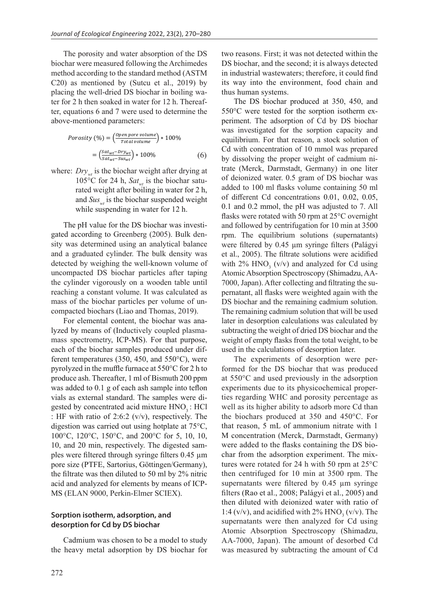The porosity and water absorption of the DS biochar were measured following the Archimedes method according to the standard method (ASTM C20) as mentioned by (Sutcu et al., 2019) by placing the well-dried DS biochar in boiling water for 2 h then soaked in water for 12 h. Thereaf ter, equations  $6$  and  $7$  were used to determine the above-mentioned parameters: ntioned by (Sutcu et al., 20  $\mathcal{L}$   $\mathcal{L}$  100%  $\mathcal{L}$  100%  $\mathcal{L}$  100%  $\mathcal{L}$  100%  $\mathcal{L}$  100%  $\mathcal{L}$  100%  $\mathcal{L}$  100%  $\mathcal{L}$  100%  $\mathcal{L}$  100%  $\mathcal{L}$  100%  $\mathcal{L}$  100%  $\mathcal{L}$  100%  $\mathcal{L}$  100%  $\mathcal{L}$  100%  $\mathcal{L}$  100%  $\$ T, T  $=$   $\frac{1}{2}$   $\frac{1}{2}$   $\frac{1}{2}$   $\frac{1}{2}$   $\frac{1}{2}$   $\frac{1}{2}$   $\frac{1}{2}$   $\frac{1}{2}$   $\frac{1}{2}$ etermine the  $\frac{1}{w}$ 

$$
Porosity \ (\%) = \left(\frac{open\ pore\ volume}{Total\ volume}\right) * 100\%
$$
\n
$$
= \left(\frac{Sat_{wt} - Dry_{wt}}{Sat_{wt} - Sus_{wt}}\right) * 100\%
$$
\n(6)

e:  $Drv$  is the biochar weight aft where:  $Dry_{wt}$  is the biochar weight after drying at  $105^{\circ}$ C for 24 h,  $Sat_{wt}$  is the biochar saturated weight after boiling in water for 2 h, and  $Sus_{wt}$  is the biochar suspended weight while suspending in water for 12 h.

The pH value for the DS biochar was investigated according to Greenberg (2005). Bulk density was determined using an analytical balance and a graduated cylinder. The bulk density was detected by weighing the well-known volume of uncompacted DS biochar particles after taping the cylinder vigorously on a wooden table until reaching a constant volume. It was calculated as mass of the biochar particles per volume of uncompacted biochars (Liao and Thomas, 2019).

For elemental content, the biochar was analyzed by means of (Inductively coupled plasmamass spectrometry, ICP-MS). For that purpose, each of the biochar samples produced under different temperatures (350, 450, and 550°C), were pyrolyzed in the muffle furnace at 550°C for 2 h to produce ash. Thereafter, 1 ml of Bismuth 200 ppm was added to 0.1 g of each ash sample into teflon vials as external standard. The samples were digested by concentrated acid mixture HNO<sub>3</sub>: HCl : HF with ratio of 2:6:2 (v/v), respectively. The digestion was carried out using hotplate at 75°C, 100°C, 120°C, 150°C, and 200°C for 5, 10, 10, 10, and 20 min, respectively. The digested samples were filtered through syringe filters 0.45 µm pore size (PTFE, Sartorius, Göttingen/Germany), the filtrate was then diluted to 50 ml by 2% nitric acid and analyzed for elements by means of ICP-MS (ELAN 9000, Perkin-Elmer SCIEX).

# **Sorption isotherm, adsorption, and desorption for Cd by DS biochar**

Cadmium was chosen to be a model to study the heavy metal adsorption by DS biochar for two reasons. First; it was not detected within the DS biochar, and the second; it is always detected in industrial wastewaters; therefore, it could find its way into the environment, food chain and thus human systems.

The DS biochar produced at 350, 450, and 550°C were tested for the sorption isotherm experiment. The adsorption of Cd by DS biochar was investigated for the sorption capacity and equilibrium. For that reason, a stock solution of Cd with concentration of 10 mmol was prepared by dissolving the proper weight of cadmium nitrate (Merck, Darmstadt, Germany) in one liter of deionized water. 0.5 gram of DS biochar was added to 100 ml flasks volume containing 50 ml of different Cd concentrations 0.01, 0.02, 0.05, 0.1 and 0.2 mmol, the pH was adjusted to 7. All flasks were rotated with 50 rpm at 25°C overnight and followed by centrifugation for 10 min at 3500 rpm. The equilibrium solutions (supernatants) were filtered by 0.45 µm syringe filters (Palágyi et al., 2005). The filtrate solutions were acidified with  $2\%$  HNO<sub>3</sub> (v/v) and analyzed for Cd using Atomic Absorption Spectroscopy (Shimadzu, AA-7000, Japan). After collecting and filtrating the supernatant, all flasks were weighted again with the DS biochar and the remaining cadmium solution. The remaining cadmium solution that will be used later in desorption calculations was calculated by subtracting the weight of dried DS biochar and the weight of empty flasks from the total weight, to be used in the calculations of desorption later.

The experiments of desorption were performed for the DS biochar that was produced at 550°C and used previously in the adsorption experiments due to its physicochemical properties regarding WHC and porosity percentage as well as its higher ability to adsorb more Cd than the biochars produced at 350 and 450°C. For that reason, 5 mL of ammonium nitrate with 1 M concentration (Merck, Darmstadt, Germany) were added to the flasks containing the DS biochar from the adsorption experiment. The mixtures were rotated for 24 h with 50 rpm at 25°C then centrifuged for 10 min at 3500 rpm. The supernatants were filtered by 0.45 µm syringe filters (Rao et al., 2008; Palágyi et al., 2005) and then diluted with deionized water with ratio of 1:4 (v/v), and acidified with  $2\%$  HNO<sub>3</sub> (v/v). The supernatants were then analyzed for Cd using Atomic Absorption Spectroscopy (Shimadzu, AA-7000, Japan). The amount of desorbed Cd was measured by subtracting the amount of Cd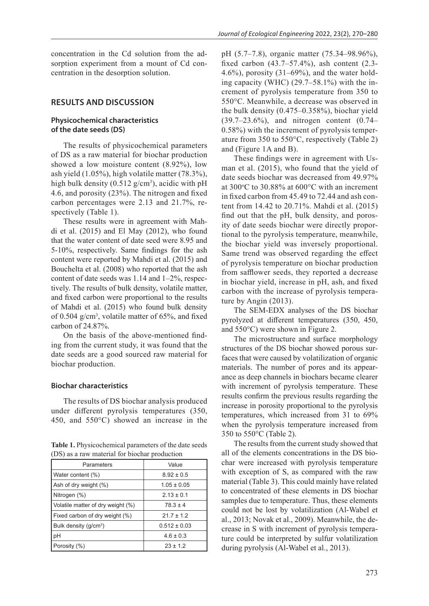# **RESULTS AND DISCUSSION**

# **Physicochemical characteristics of the date seeds (DS)**

The results of physicochemical parameters of DS as a raw material for biochar production showed a low moisture content (8.92%), low ash yield (1.05%), high volatile matter (78.3%), high bulk density  $(0.512 \text{ g/cm}^3)$ , acidic with pH 4.6, and porosity (23%). The nitrogen and fixed carbon percentages were 2.13 and 21.7%, respectively (Table 1).

These results were in agreement with Mahdi et al. (2015) and El May (2012), who found that the water content of date seed were 8.95 and 5-10%, respectively. Same findings for the ash content were reported by Mahdi et al. (2015) and Bouchelta et al. (2008) who reported that the ash content of date seeds was 1.14 and 1–2%, respectively. The results of bulk density, volatile matter, and fixed carbon were proportional to the results of Mahdi et al. (2015) who found bulk density of 0.504 g/cm3 , volatile matter of 65%, and fixed carbon of 24.87%.

On the basis of the above-mentioned finding from the current study, it was found that the date seeds are a good sourced raw material for biochar production.

#### **Biochar characteristics**

The results of DS biochar analysis produced under different pyrolysis temperatures (350, 450, and 550°C) showed an increase in the

**Table 1.** Physicochemical parameters of the date seeds (DS) as a raw material for biochar production

| Parameters                        | Value            |  |
|-----------------------------------|------------------|--|
| Water content (%)                 | $8.92 \pm 0.5$   |  |
| Ash of dry weight (%)             | $1.05 \pm 0.05$  |  |
| Nitrogen (%)                      | $2.13 \pm 0.1$   |  |
| Volatile matter of dry weight (%) | $78.3 \pm 4$     |  |
| Fixed carbon of dry weight (%)    | $21.7 \pm 1.2$   |  |
| Bulk density (g/cm <sup>3</sup> ) | $0.512 \pm 0.03$ |  |
| pH                                | $4.6 \pm 0.3$    |  |
| Porosity (%)                      | $23 \pm 1.2$     |  |

pH (5.7–7.8), organic matter (75.34–98.96%), fixed carbon (43.7–57.4%), ash content (2.3- 4.6%), porosity (31–69%), and the water holding capacity (WHC) (29.7–58.1%) with the increment of pyrolysis temperature from 350 to 550°C. Meanwhile, a decrease was observed in the bulk density (0.475–0.358%), biochar yield (39.7–23.6%), and nitrogen content (0.74– 0.58%) with the increment of pyrolysis temperature from 350 to 550°C, respectively (Table 2) and (Figure 1A and B).

These findings were in agreement with Usman et al. (2015), who found that the yield of date seeds biochar was decreased from 49.97% at  $300^{\circ}$ C to  $30.88\%$  at  $600^{\circ}$ C with an increment in fixed carbon from 45.49 to 72.44 and ash content from 14.42 to 20.71%. Mahdi et al. (2015) find out that the pH, bulk density, and porosity of date seeds biochar were directly proportional to the pyrolysis temperature, meanwhile, the biochar yield was inversely proportional. Same trend was observed regarding the effect of pyrolysis temperature on biochar production from safflower seeds, they reported a decrease in biochar yield, increase in pH, ash, and fixed carbon with the increase of pyrolysis temperature by Angin (2013).

The SEM-EDX analyses of the DS biochar pyrolyzed at different temperatures (350, 450, and 550°C) were shown in Figure 2.

The microstructure and surface morphology structures of the DS biochar showed porous surfaces that were caused by volatilization of organic materials. The number of pores and its appearance as deep channels in biochars became clearer with increment of pyrolysis temperature. These results confirm the previous results regarding the increase in porosity proportional to the pyrolysis temperatures, which increased from 31 to 69% when the pyrolysis temperature increased from 350 to 550°C (Table 2).

The results from the current study showed that all of the elements concentrations in the DS biochar were increased with pyrolysis temperature with exception of S, as compared with the raw material (Table 3). This could mainly have related to concentrated of these elements in DS biochar samples due to temperature. Thus, these elements could not be lost by volatilization (Al-Wabel et al., 2013; Novak et al., 2009). Meanwhile, the decrease in S with increment of pyrolysis temperature could be interpreted by sulfur volatilization during pyrolysis (Al-Wabel et al., 2013).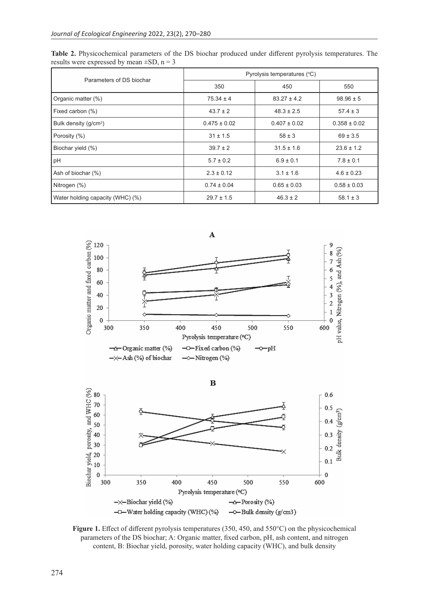| Parameters of DS biochar          | Pyrolysis temperatures (°C) |                  |                  |
|-----------------------------------|-----------------------------|------------------|------------------|
|                                   | 350                         | 450              | 550              |
| Organic matter (%)                | $75.34 \pm 4$               | $83.27 \pm 4.2$  | $98.96 \pm 5$    |
| Fixed carbon (%)                  | $43.7 \pm 2$                | $48.3 \pm 2.5$   | $57.4 \pm 3$     |
| Bulk density (g/cm <sup>3</sup> ) | $0.475 \pm 0.02$            | $0.407 \pm 0.02$ | $0.358 \pm 0.02$ |
| Porosity (%)                      | $31 \pm 1.5$                | $58 \pm 3$       | $69 \pm 3.5$     |
| Biochar yield (%)                 | $39.7 \pm 2$                | $31.5 \pm 1.6$   | $23.6 \pm 1.2$   |
| pH                                | $5.7 \pm 0.2$               | $6.9 \pm 0.1$    | $7.8 \pm 0.1$    |
| Ash of biochar (%)                | $2.3 \pm 0.12$              | $3.1 \pm 1.6$    | $4.6 \pm 0.23$   |
| Nitrogen (%)                      | $0.74 \pm 0.04$             | $0.65 \pm 0.03$  | $0.58 \pm 0.03$  |
| Water holding capacity (WHC) (%)  | $29.7 \pm 1.5$              | $46.3 \pm 2$     | $58.1 \pm 3$     |

**Table 2.** Physicochemical parameters of the DS biochar produced under different pyrolysis temperatures. The results were expressed by mean  $\pm SD$ , n = 3





**Figure 1.** Effect of different pyrolysis temperatures (350, 450, and 550°C) on the physicochemical parameters of the DS biochar; A: Organic matter, fixed carbon, pH, ash content, and nitrogen content, B: Biochar yield, porosity, water holding capacity (WHC), and bulk density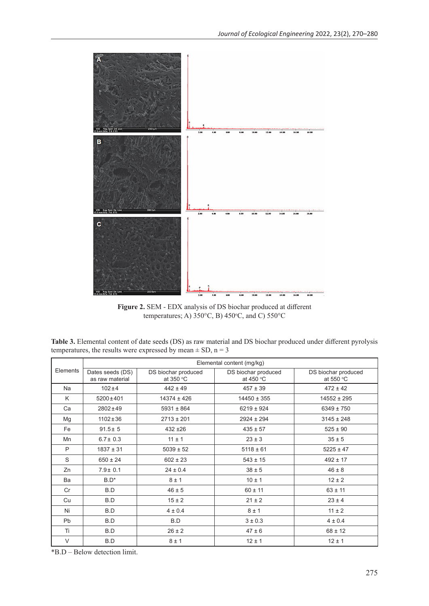

**Figure 2.** SEM - EDX analysis of DS biochar produced at different temperatures; A)  $350^{\circ}$ C, B)  $450^{\circ}$ C, and C)  $550^{\circ}$ C

**Table 3.** Elemental content of date seeds (DS) as raw material and DS biochar produced under different pyrolysis temperatures, the results were expressed by mean  $\pm$  SD, n = 3

|           | Elemental content (mg/kg)           |                                  |                                  |                                  |
|-----------|-------------------------------------|----------------------------------|----------------------------------|----------------------------------|
| Elements  | Dates seeds (DS)<br>as raw material | DS biochar produced<br>at 350 °C | DS biochar produced<br>at 450 °C | DS biochar produced<br>at 550 °C |
| Na        | $102 + 4$                           | $442 \pm 49$                     | $457 \pm 39$                     | $472 \pm 42$                     |
| K         | $5200 \pm 401$                      | $14374 \pm 426$                  | $14450 \pm 355$                  | $14552 \pm 295$                  |
| Ca        | $2802 \pm 49$                       | $5931 \pm 864$                   | $6219 \pm 924$                   | $6349 \pm 750$                   |
| Mg        | $1102 \pm 36$                       | $2713 \pm 201$                   | $2924 \pm 294$                   | $3145 \pm 248$                   |
| Fe        | $91.5 \pm 5$                        | $432 + 26$                       | $435 \pm 57$                     | $525 \pm 90$                     |
| Mn        | $6.7 \pm 0.3$                       | $11 \pm 1$                       | $23 \pm 3$                       | $35 \pm 5$                       |
| P         | $1837 \pm 31$                       | $5039 \pm 52$                    | $5118 \pm 61$                    | $5225 \pm 47$                    |
| S         | $650 \pm 24$                        | $602 \pm 23$                     | $543 \pm 15$                     | $492 \pm 17$                     |
| Zn        | $7.9 \pm 0.1$                       | $24 \pm 0.4$                     | $38 \pm 5$                       | $46 \pm 8$                       |
| Ba        | $B.D^*$                             | $8 \pm 1$                        | $10 \pm 1$                       | $12 \pm 2$                       |
| Cr        | B.D                                 | $46 \pm 5$                       | $60 \pm 11$                      | $63 \pm 11$                      |
| Cu        | B.D                                 | $15 \pm 2$                       | $21 \pm 2$                       | $23 \pm 4$                       |
| Ni        | B.D                                 | $4 \pm 0.4$                      | $8 \pm 1$                        | $11 \pm 2$                       |
| <b>Pb</b> | B.D                                 | B.D                              | $3 + 0.3$                        | $4 \pm 0.4$                      |
| Ti        | B.D                                 | $26 \pm 2$                       | $47 \pm 6$                       | $68 \pm 12$                      |
| $\vee$    | B.D                                 | $8 \pm 1$                        | $12 \pm 1$                       | $12 \pm 1$                       |

\*B.D – Below detection limit.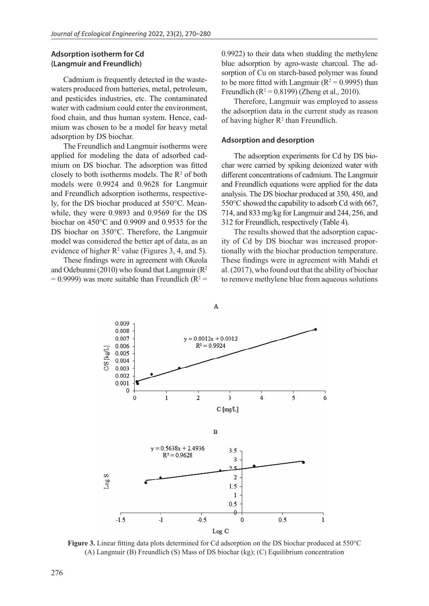## **Adsorption isotherm for Cd (Langmuir and Freundlich)**

Cadmium is frequently detected in the wastewaters produced from batteries, metal, petroleum, and pesticides industries, etc. The contaminated water with cadmium could enter the environment, food chain, and thus human system. Hence, cadmium was chosen to be a model for heavy metal adsorption by DS biochar.

The Freundlich and Langmuir isotherms were applied for modeling the data of adsorbed cadmium on DS biochar. The adsorption was fitted closely to both isotherms models. The  $\mathbb{R}^2$  of both models were 0.9924 and 0.9628 for Langmuir and Freundlich adsorption isotherms, respectively, for the DS biochar produced at 550°C. Meanwhile, they were 0.9893 and 0.9569 for the DS biochar on 450°C and 0.9909 and 0.9535 for the DS biochar on 350°C. Therefore, the Langmuir model was considered the better apt of data, as an evidence of higher  $\mathbb{R}^2$  value (Figures 3, 4, and 5).

These findings were in agreement with Okeola and Odebunmi (2010) who found that Langmuir  $(R^2)$  $= 0.9999$ ) was more suitable than Freundlich ( $R^2 =$  0.9922) to their data when studding the methylene blue adsorption by agro-waste charcoal. The adsorption of Cu on starch-based polymer was found to be more fitted with Langmuir ( $R^2 = 0.9995$ ) than Freundlich ( $R^2 = 0.8199$ ) (Zheng et al., 2010).

Therefore, Langmuir was employed to assess the adsorption data in the current study as reason of having higher  $R^2$  than Freundlich.

#### **Adsorption and desorption**

The adsorption experiments for Cd by DS biochar were carried by spiking deionized water with different concentrations of cadmium. The Langmuir and Freundlich equations were applied for the data analysis. The DS biochar produced at 350, 450, and 550°C showed the capability to adsorb Cd with 667, 714, and 833 mg/kg for Langmuir and 244, 256, and 312 for Freundlich, respectively (Table 4).

The results showed that the adsorption capacity of Cd by DS biochar was increased proportionally with the biochar production temperature. These findings were in agreement with Mahdi et al. (2017), who found out that the ability of biochar to remove methylene blue from aqueous solutions



**Figure 3.** Linear fitting data plots determined for Cd adsorption on the DS biochar produced at 550°C (A) Langmuir (B) Freundlich (S) Mass of DS biochar (kg); (C) Equilibrium concentration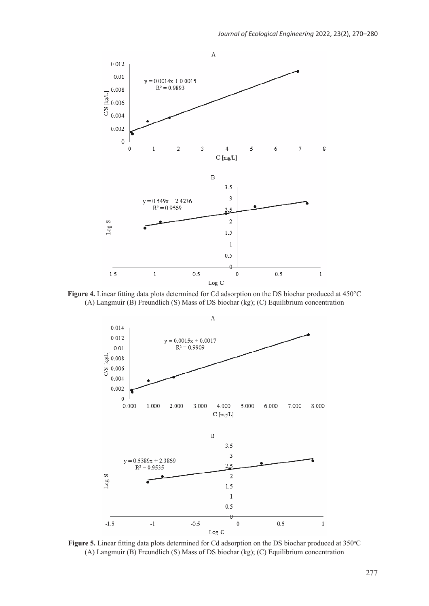

**Figure 4.** Linear fitting data plots determined for Cd adsorption on the DS biochar produced at 450°C (A) Langmuir (B) Freundlich (S) Mass of DS biochar (kg); (C) Equilibrium concentration



Figure 5. Linear fitting data plots determined for Cd adsorption on the DS biochar produced at 350°C (A) Langmuir (B) Freundlich (S) Mass of DS biochar (kg); (C) Equilibrium concentration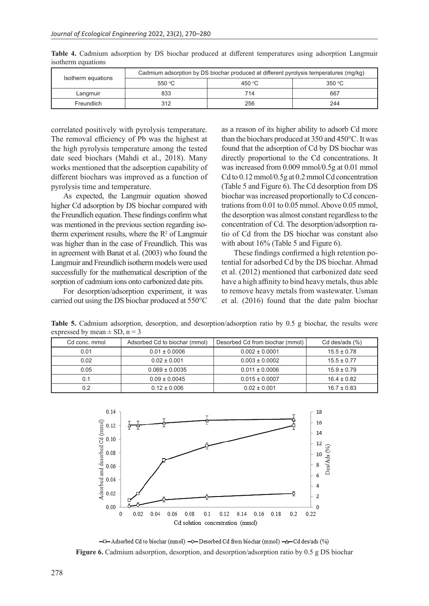| Isotherm equations | Cadmium adsorption by DS biochar produced at different pyrolysis temperatures (mg/kg) |                 |        |
|--------------------|---------------------------------------------------------------------------------------|-----------------|--------|
|                    | 550 °C                                                                                | 450 $\degree$ C | 350 °C |
| Langmuir           | 833                                                                                   | 714             | 667    |
| Freundlich         | 312                                                                                   | 256             | 244    |

**Table 4.** Cadmium adsorption by DS biochar produced at different temperatures using adsorption Langmuir isotherm equations

correlated positively with pyrolysis temperature. The removal efficiency of Pb was the highest at the high pyrolysis temperature among the tested date seed biochars (Mahdi et al., 2018). Many works mentioned that the adsorption capability of different biochars was improved as a function of pyrolysis time and temperature.

As expected, the Langmuir equation showed higher Cd adsorption by DS biochar compared with the Freundlich equation. These findings confirm what was mentioned in the previous section regarding isotherm experiment results, where the  $\mathbb{R}^2$  of Langmuir was higher than in the case of Freundlich. This was in agreement with Banat et al. (2003) who found the Langmuir and Freundlich isotherm models were used successfully for the mathematical description of the sorption of cadmium ions onto carbonized date pits.

For desorption/adsorption experiment, it was carried out using the DS biochar produced at 550°C as a reason of its higher ability to adsorb Cd more than the biochars produced at 350 and 450°C. It was found that the adsorption of Cd by DS biochar was directly proportional to the Cd concentrations. It was increased from 0.009 mmol/0.5g at 0.01 mmol Cd to 0.12 mmol/0.5g at 0.2 mmol Cd concentration (Table 5 and Figure 6). The Cd desorption from DS biochar was increased proportionally to Cd concentrations from 0.01 to 0.05 mmol. Above 0.05 mmol, the desorption was almost constant regardless to the concentration of Cd. The desorption/adsorption ratio of Cd from the DS biochar was constant also with about 16% (Table 5 and Figure 6).

These findings confirmed a high retention potential for adsorbed Cd by the DS biochar. Ahmad et al. (2012) mentioned that carbonized date seed have a high affinity to bind heavy metals, thus able to remove heavy metals from wastewater. Usman et al. (2016) found that the date palm biochar

|  | Cd conc. mmol | Adsorbed Cd to biochar (mmol) | Desorbed Cd from biochar (mmol) | Cd des/ads (%)  |
|--|---------------|-------------------------------|---------------------------------|-----------------|
|  | 0.01          | $0.01 \pm 0.0006$             | $0.002 \pm 0.0001$              | $15.5 \pm 0.78$ |
|  | 0.02          | $0.02 \pm 0.001$              | $0.003 \pm 0.0002$              | $15.5 \pm 0.77$ |
|  | 0.05          | $0.069 \pm 0.0035$            | $0.011 \pm 0.0006$              | $15.9 \pm 0.79$ |
|  | 0.1           | $0.09 \pm 0.0045$             | $0.015 \pm 0.0007$              | $16.4 \pm 0.82$ |
|  | 0.2           | $0.12 \pm 0.006$              | $0.02 \pm 0.001$                | $16.7 \pm 0.83$ |

**Table 5.** Cadmium adsorption, desorption, and desorption/adsorption ratio by 0.5 g biochar, the results were expressed by mean  $\pm$  SD, n = 3



-D-Adsorbed Cd to biochar (mmol) -O-Desorbed Cd from biochar (mmol) -A-Cd des/ads (%) **Figure 6.** Cadmium adsorption, desorption, and desorption/adsorption ratio by 0.5 g DS biochar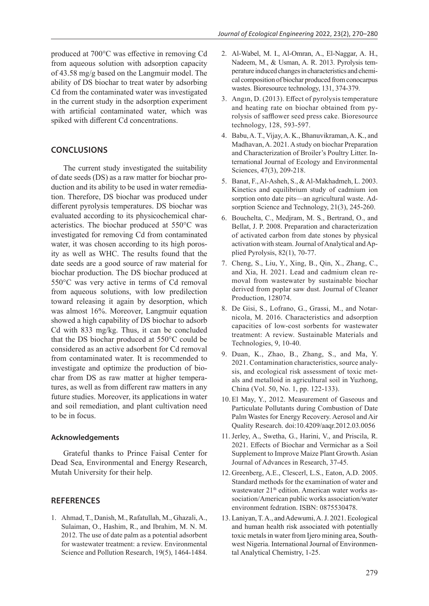produced at 700°C was effective in removing Cd from aqueous solution with adsorption capacity of 43.58 mg/g based on the Langmuir model. The ability of DS biochar to treat water by adsorbing Cd from the contaminated water was investigated in the current study in the adsorption experiment with artificial contaminated water, which was spiked with different Cd concentrations.

# **CONCLUSIONS**

The current study investigated the suitability of date seeds (DS) as a raw matter for biochar production and its ability to be used in water remediation. Therefore, DS biochar was produced under different pyrolysis temperatures. DS biochar was evaluated according to its physicochemical characteristics. The biochar produced at 550°C was investigated for removing Cd from contaminated water, it was chosen according to its high porosity as well as WHC. The results found that the date seeds are a good source of raw material for biochar production. The DS biochar produced at 550°C was very active in terms of Cd removal from aqueous solutions, with low predilection toward releasing it again by desorption, which was almost 16%. Moreover, Langmuir equation showed a high capability of DS biochar to adsorb Cd with 833 mg/kg. Thus, it can be concluded that the DS biochar produced at 550°C could be considered as an active adsorbent for Cd removal from contaminated water. It is recommended to investigate and optimize the production of biochar from DS as raw matter at higher temperatures, as well as from different raw matters in any future studies. Moreover, its applications in water and soil remediation, and plant cultivation need to be in focus.

#### **Acknowledgements**

Grateful thanks to Prince Faisal Center for Dead Sea, Environmental and Energy Research, Mutah University for their help.

#### **REFERENCES**

1. Ahmad, T., Danish, M., Rafatullah, M., Ghazali, A., Sulaiman, O., Hashim, R., and Ibrahim, M. N. M. 2012. The use of date palm as a potential adsorbent for wastewater treatment: a review. Environmental Science and Pollution Research, 19(5), 1464-1484.

- 2. Al-Wabel, M. I., Al-Omran, A., El-Naggar, A. H., Nadeem, M., & Usman, A. R. 2013. Pyrolysis temperature induced changes in characteristics and chemical composition of biochar produced from conocarpus wastes. Bioresource technology, 131, 374-379.
- 3. Angın, D. (2013). Effect of pyrolysis temperature and heating rate on biochar obtained from pyrolysis of safflower seed press cake. Bioresource technology, 128, 593-597.
- 4. Babu, A. T., Vijay, A. K., Bhanuvikraman, A. K., and Madhavan, A. 2021. A study on biochar Preparation and Characterization of Broiler's Poultry Litter. International Journal of Ecology and Environmental Sciences, 47(3), 209-218.
- 5. Banat, F., Al-Asheh, S., & Al-Makhadmeh, L. 2003. Kinetics and equilibrium study of cadmium ion sorption onto date pits—an agricultural waste. Adsorption Science and Technology, 21(3), 245-260.
- 6. Bouchelta, C., Medjram, M. S., Bertrand, O., and Bellat, J. P. 2008. Preparation and characterization of activated carbon from date stones by physical activation with steam.Journal of Analytical and Applied Pyrolysis, 82(1), 70-77.
- 7. Cheng, S., Liu, Y., Xing, B., Qin, X., Zhang, C., and Xia, H. 2021. Lead and cadmium clean removal from wastewater by sustainable biochar derived from poplar saw dust. Journal of Cleaner Production, 128074.
- 8. De Gisi, S., Lofrano, G., Grassi, M., and Notarnicola, M. 2016. Characteristics and adsorption capacities of low-cost sorbents for wastewater treatment: A review. Sustainable Materials and Technologies, 9, 10-40.
- 9. Duan, K., Zhao, B., Zhang, S., and Ma, Y. 2021. Contamination characteristics, source analysis, and ecological risk assessment of toxic metals and metalloid in agricultural soil in Yuzhong, China (Vol. 50, No. 1, pp. 122-133).
- 10. El May, Y., 2012. Measurement of Gaseous and Particulate Pollutants during Combustion of Date Palm Wastes for Energy Recovery. Aerosol and Air Quality Research. doi:10.4209/aaqr.2012.03.0056
- 11. Jerley, A., Swetha, G., Harini, V., and Priscila, R. 2021. Effects of Biochar and Vermichar as a Soil Supplement to Improve Maize Plant Growth.Asian Journal of Advances in Research, 37-45.
- 12. Greenberg, A.E., Clescerl, L.S., Eaton, A.D. 2005. Standard methods for the examination of water and wastewater 21<sup>th</sup> edition. American water works association/American public works association/water environment fedration. ISBN: 0875530478.
- 13. Laniyan, T. A., and Adewumi, A. J. 2021. Ecological and human health risk associated with potentially toxic metals in water from Ijero mining area, Southwest Nigeria. International Journal of Environmental Analytical Chemistry, 1-25.